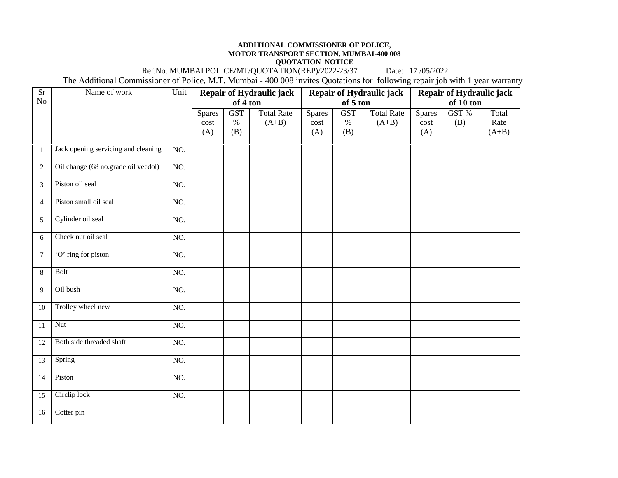## **ADDITIONAL COMMISSIONER OF POLICE, MOTOR TRANSPORT SECTION, MUMBAI-400 008**

**QUOTATION NOTICE**<br>
ATION(REP)/2022-23/37 Date: 17/05/2022 Ref.No. MUMBAI POLICE/MT/QUOTATION(REP)/2022-23/37

The Additional Commissioner of Police, M.T. Mumbai - 400 008 invites Quotations for following repair job with 1 year warranty

| <b>Sr</b>      | Name of work                        | Unit | Repair of Hydraulic jack     |                           |                              |                              |                           | Repair of Hydraulic jack     | Repair of Hydraulic jack     |              |                          |  |
|----------------|-------------------------------------|------|------------------------------|---------------------------|------------------------------|------------------------------|---------------------------|------------------------------|------------------------------|--------------|--------------------------|--|
| No             |                                     |      | of 4 ton                     |                           |                              | of 5 ton                     |                           |                              | of 10 ton                    |              |                          |  |
|                |                                     |      | <b>Spares</b><br>cost<br>(A) | <b>GST</b><br>$\%$<br>(B) | <b>Total Rate</b><br>$(A+B)$ | <b>Spares</b><br>cost<br>(A) | <b>GST</b><br>$\%$<br>(B) | <b>Total Rate</b><br>$(A+B)$ | <b>Spares</b><br>cost<br>(A) | GST %<br>(B) | Total<br>Rate<br>$(A+B)$ |  |
| $\mathbf{1}$   | Jack opening servicing and cleaning | NO.  |                              |                           |                              |                              |                           |                              |                              |              |                          |  |
| $\overline{2}$ | Oil change (68 no.grade oil veedol) | NO.  |                              |                           |                              |                              |                           |                              |                              |              |                          |  |
| 3              | Piston oil seal                     | NO.  |                              |                           |                              |                              |                           |                              |                              |              |                          |  |
| $\overline{4}$ | Piston small oil seal               | NO.  |                              |                           |                              |                              |                           |                              |                              |              |                          |  |
| 5              | Cylinder oil seal                   | NO.  |                              |                           |                              |                              |                           |                              |                              |              |                          |  |
| 6              | Check nut oil seal                  | NO.  |                              |                           |                              |                              |                           |                              |                              |              |                          |  |
| $\overline{7}$ | 'O' ring for piston                 | NO.  |                              |                           |                              |                              |                           |                              |                              |              |                          |  |
| 8              | Bolt                                | NO.  |                              |                           |                              |                              |                           |                              |                              |              |                          |  |
| 9              | Oil bush                            | NO.  |                              |                           |                              |                              |                           |                              |                              |              |                          |  |
| 10             | Trolley wheel new                   | NO.  |                              |                           |                              |                              |                           |                              |                              |              |                          |  |
| 11             | <b>Nut</b>                          | NO.  |                              |                           |                              |                              |                           |                              |                              |              |                          |  |
| 12             | Both side threaded shaft            | NO.  |                              |                           |                              |                              |                           |                              |                              |              |                          |  |
| 13             | Spring                              | NO.  |                              |                           |                              |                              |                           |                              |                              |              |                          |  |
| 14             | Piston                              | NO.  |                              |                           |                              |                              |                           |                              |                              |              |                          |  |
| 15             | Circlip lock                        | NO.  |                              |                           |                              |                              |                           |                              |                              |              |                          |  |
| 16             | Cotter pin                          |      |                              |                           |                              |                              |                           |                              |                              |              |                          |  |